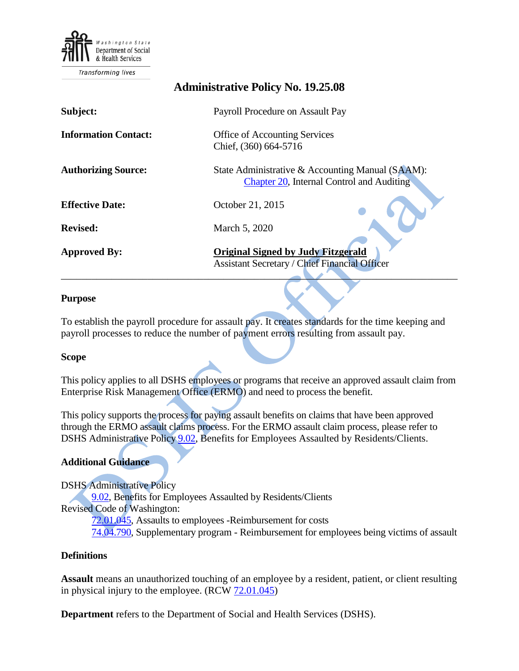

**Transforming lives** 

# **Administrative Policy No. 19.25.08 Subject:** Payroll Procedure on Assault Pay **Information Contact:** Office of Accounting Services Chief, (360) 664-5716 **Authorizing Source:** State Administrative & Accounting Manual (SAAM): [Chapter 20,](http://www.ofm.wa.gov/policy/20.htm) Internal Control and Auditing **Effective Date:** October 21, 2015 **Revised:** March 5, 2020 **Approved By: Original Signed by Judy Fitzgerald** Assistant Secretary / Chief Financial Officer  $\mathcal{L}^{\mathcal{N}}$  , we can assume that the contract of  $\mathcal{N}^{\mathcal{N}}$  , we can assume that the contract of  $\mathcal{N}^{\mathcal{N}}$

#### **Purpose**

To establish the payroll procedure for assault pay. It creates standards for the time keeping and payroll processes to reduce the number of payment errors resulting from assault pay.

#### **Scope**

This policy applies to all DSHS employees or programs that receive an approved assault claim from Enterprise Risk Management Office (ERMO) and need to process the benefit.

This policy supports the process for paying assault benefits on claims that have been approved through the ERMO assault claims process. For the ERMO assault claim process, please refer to DSHS Administrative Policy [9.02,](http://one.dshs.wa.lcl/Policies/Administrative/DSHS-AP-09-02.pdf) Benefits for Employees Assaulted by Residents/Clients.

#### **Additional Guidance**

DSHS Administrative Policy [9.02,](http://one.dshs.wa.lcl/Policies/Administrative/DSHS-AP-09-02.pdf) Benefits for Employees Assaulted by Residents/Clients Revised Code of Washington: [72.01.045,](http://apps.leg.wa.gov/RCW/default.aspx?cite=72.01.045) Assaults to employees -Reimbursement for costs [74.04.790,](http://apps.leg.wa.gov/RCW/default.aspx?cite=74.04.790) Supplementary program - Reimbursement for employees being victims of assault

#### **Definitions**

**Assault** means an unauthorized touching of an employee by a resident, patient, or client resulting in physical injury to the employee.  $(RCW 72.01.045)$  $(RCW 72.01.045)$ 

**Department** refers to the Department of Social and Health Services (DSHS).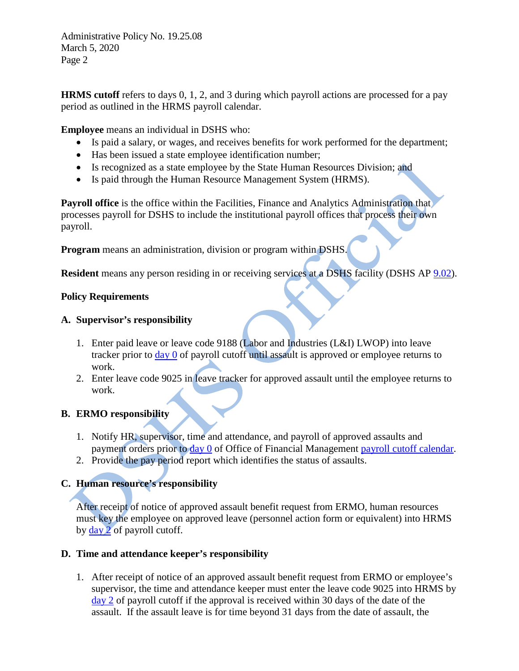Administrative Policy No. 19.25.08 March 5, 2020 Page 2

**HRMS cutoff** refers to days 0, 1, 2, and 3 during which payroll actions are processed for a pay period as outlined in the HRMS payroll calendar.

**Employee** means an individual in DSHS who:

- Is paid a salary, or wages, and receives benefits for work performed for the department;
- Has been issued a state employee identification number;
- Is recognized as a state employee by the State Human Resources Division; and
- Is paid through the Human Resource Management System (HRMS).

**Payroll office** is the office within the Facilities, Finance and Analytics Administration that processes payroll for DSHS to include the institutional payroll offices that process their own payroll.

**Program** means an administration, division or program within DSHS.

**Resident** means any person residing in or receiving services at a DSHS facility (DSHS AP [9.02\)](http://one.dshs.wa.lcl/policies/Pages/default.aspx).

### **Policy Requirements**

### **A. Supervisor's responsibility**

- 1. Enter paid leave or leave code 9188 (Labor and Industries (L&I) LWOP) into leave tracker prior to [day 0](https://support.hrms.wa.gov/sites/default/files/public/resources/hrmsSecurity/2020%20Payroll%20Calendar%20Final%20091019.xlsx) of payroll cutoff until assault is approved or employee returns to work.
- 2. Enter leave code 9025 in leave tracker for approved assault until the employee returns to work.

# **B. ERMO responsibility**

- 1. Notify HR, supervisor, time and attendance, and payroll of approved assaults and payment orders prior to [day 0](https://support.hrms.wa.gov/sites/default/files/public/resources/hrmsSecurity/2020%20Payroll%20Calendar%20Final%20091019.xlsx) of Office of Financial Management [payroll cutoff](https://support.hrms.wa.gov/resources/payroll-calendars) calendar.
- 2. Provide the pay period report which identifies the status of assaults.

# **C. Human resource's responsibility**

After receipt of notice of approved assault benefit request from ERMO, human resources must key the employee on approved leave (personnel action form or equivalent) into HRMS by  $\frac{day}{2}$  of payroll cutoff.

# **D. Time and attendance keeper's responsibility**

1. After receipt of notice of an approved assault benefit request from ERMO or employee's supervisor, the time and attendance keeper must enter the leave code 9025 into HRMS by [day 2](https://support.hrms.wa.gov/sites/default/files/public/resources/hrmsSecurity/2020%20Payroll%20Calendar%20Final%20091019.xlsx) of payroll cutoff if the approval is received within 30 days of the date of the assault. If the assault leave is for time beyond 31 days from the date of assault, the